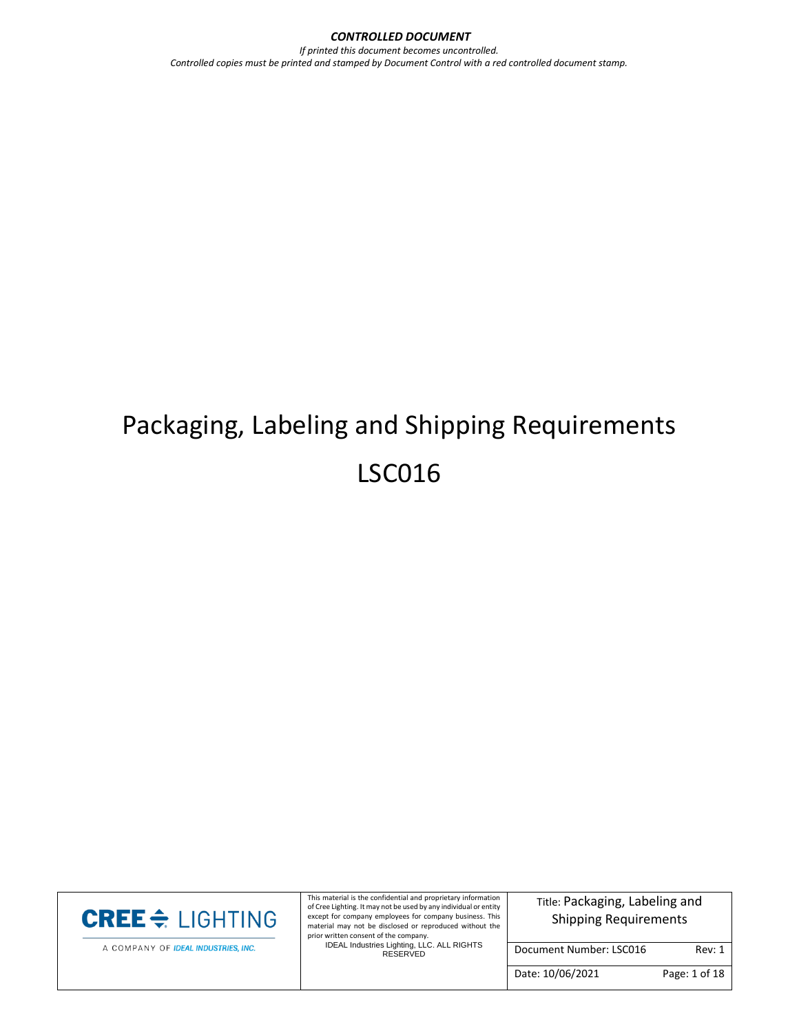*CONTROLLED DOCUMENT If printed this document becomes uncontrolled. Controlled copies must be printed and stamped by Document Control with a red controlled document stamp.*

# Packaging, Labeling and Shipping Requirements LSC016



A COMPANY OF IDEAL INDUSTRIES, INC.

This material is the confidential and proprietary information of Cree Lighting. It may not be used by any individual or entity except for company employees for company business. This material may not be disclosed or reproduced without the

prior written consent of the company. IDEAL Industries Lighting, LLC. ALL RIGHTS RESERVED

Title: Packaging, Labeling and Shipping Requirements

Document Number: LSC016 Rev: 1

Date: 10/06/2021 Page: 1 of 18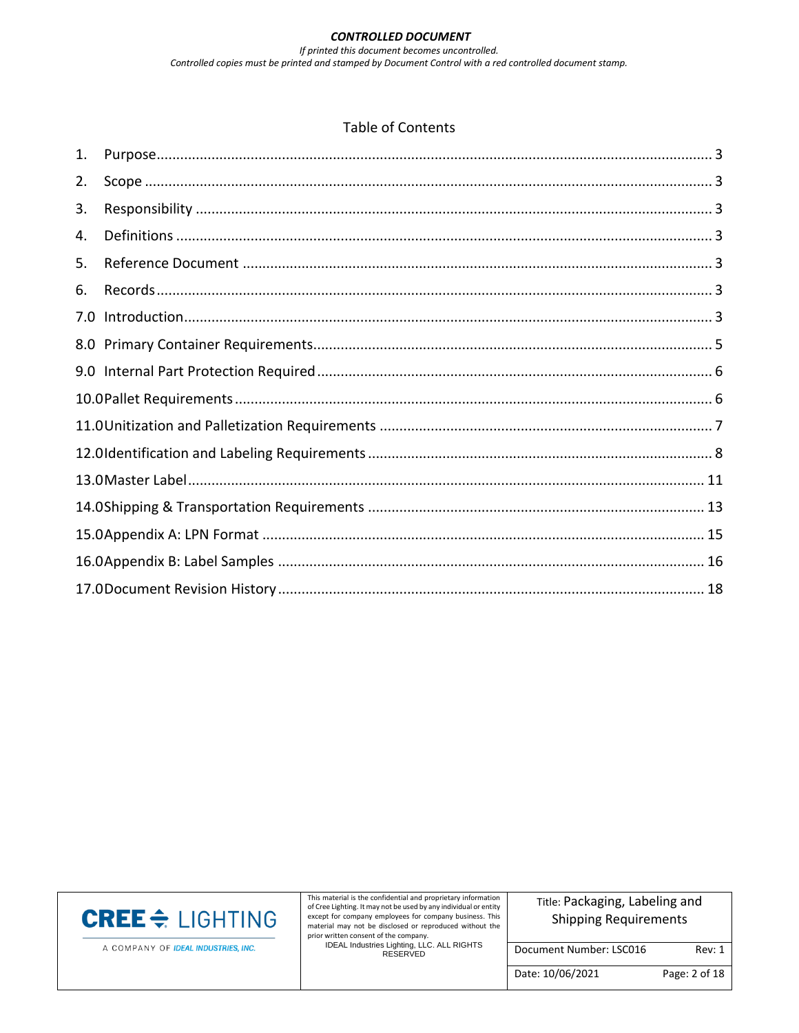#### Table of Contents

| 1.  |  |
|-----|--|
| 2.  |  |
| 3.  |  |
| 4.  |  |
| 5.  |  |
| 6.  |  |
| 7.0 |  |
|     |  |
|     |  |
|     |  |
|     |  |
|     |  |
|     |  |
|     |  |
|     |  |
|     |  |
|     |  |



A COMPANY OF IDEAL INDUSTRIES, INC.

This material is the confidential and proprietary information of Cree Lighting. It may not be used by any individual or entity except for company employees for company business. This material may not be disclosed or reproduced without the

prior written consent of the company. IDEAL Industries Lighting, LLC. ALL RIGHTS RESERVED

Title: Packaging, Labeling and Shipping Requirements

Document Number: LSC016 Rev: 1

Date: 10/06/2021 Page: 2 of 18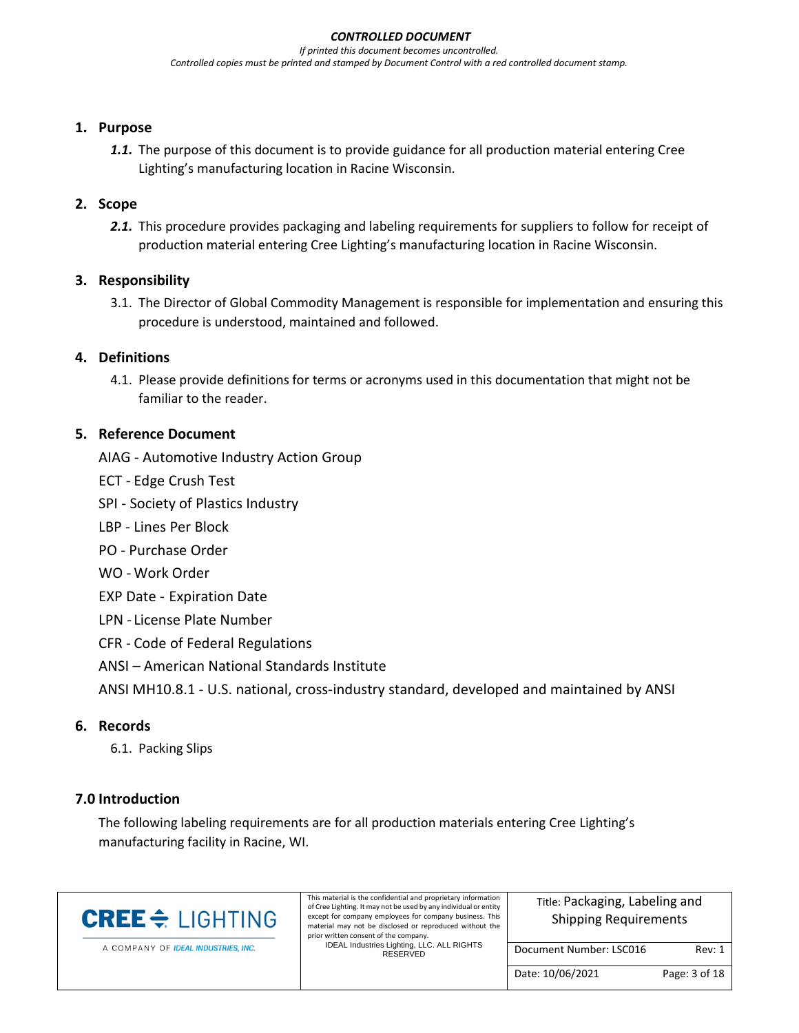#### <span id="page-2-0"></span>**1. Purpose**

*1.1.* The purpose of this document is to provide guidance for all production material entering Cree Lighting's manufacturing location in Racine Wisconsin.

# <span id="page-2-1"></span>**2. Scope**

2.1. This procedure provides packaging and labeling requirements for suppliers to follow for receipt of production material entering Cree Lighting's manufacturing location in Racine Wisconsin.

# <span id="page-2-2"></span>**3. Responsibility**

3.1. The Director of Global Commodity Management is responsible for implementation and ensuring this procedure is understood, maintained and followed.

# <span id="page-2-3"></span>**4. Definitions**

4.1. Please provide definitions for terms or acronyms used in this documentation that might not be familiar to the reader.

# <span id="page-2-4"></span>**5. Reference Document**

- AIAG Automotive Industry Action Group
- ECT Edge Crush Test
- SPI Society of Plastics Industry
- LBP Lines Per Block
- PO Purchase Order
- WO Work Order
- EXP Date Expiration Date
- LPN License Plate Number
- CFR Code of Federal Regulations
- ANSI American National Standards Institute

ANSI MH10.8.1 - U.S. national, cross-industry standard, developed and maintained by ANSI

# <span id="page-2-5"></span>**6. Records**

6.1. Packing Slips

# <span id="page-2-6"></span>**7.0 Introduction**

The following labeling requirements are for all production materials entering Cree Lighting's manufacturing facility in Racine, WI.

| <b>CREE</b> $\triangleq$ LIGHTING   | This material is the confidential and proprietary information<br>of Cree Lighting. It may not be used by any individual or entity<br>except for company employees for company business. This<br>material may not be disclosed or reproduced without the<br>prior written consent of the company. | Title: Packaging, Labeling and<br><b>Shipping Requirements</b> |               |  |
|-------------------------------------|--------------------------------------------------------------------------------------------------------------------------------------------------------------------------------------------------------------------------------------------------------------------------------------------------|----------------------------------------------------------------|---------------|--|
| A COMPANY OF IDEAL INDUSTRIES, INC. | IDEAL Industries Lighting, LLC. ALL RIGHTS<br>RESERVED                                                                                                                                                                                                                                           | Document Number: LSC016                                        | Rev: 1        |  |
|                                     |                                                                                                                                                                                                                                                                                                  | Date: 10/06/2021                                               | Page: 3 of 18 |  |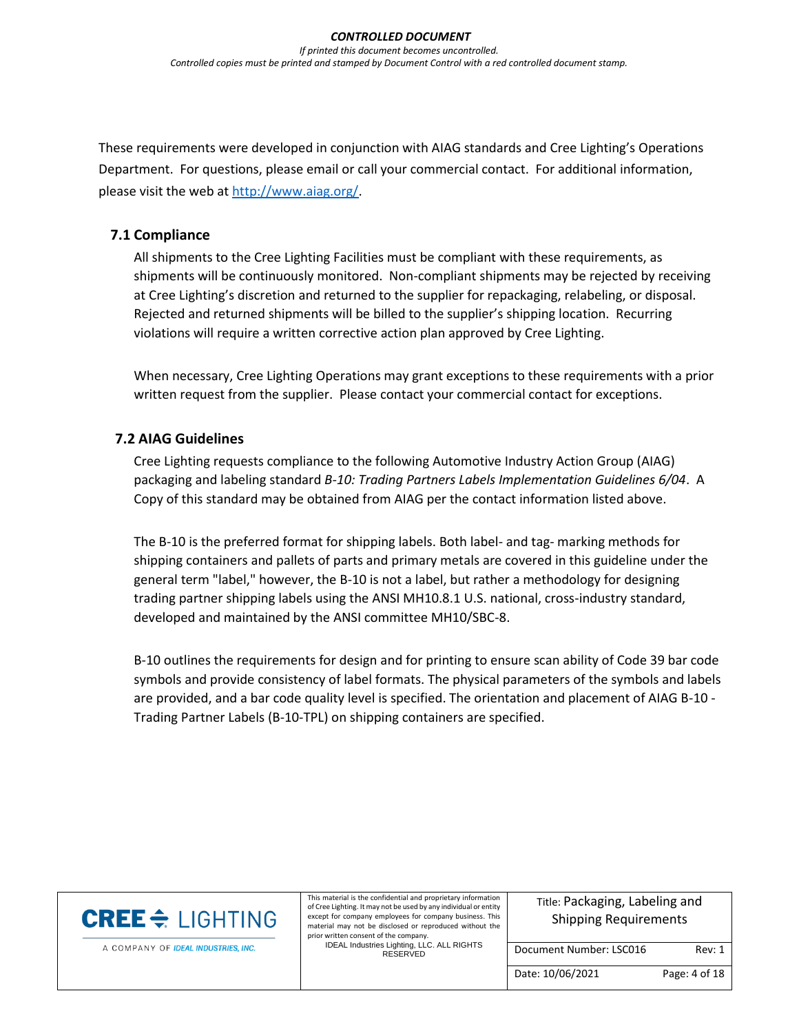These requirements were developed in conjunction with AIAG standards and Cree Lighting's Operations Department. For questions, please email or call your commercial contact. For additional information, please visit the web at [http://www.aiag.org/.](http://www.aiag.org/)

#### **7.1 Compliance**

All shipments to the Cree Lighting Facilities must be compliant with these requirements, as shipments will be continuously monitored. Non-compliant shipments may be rejected by receiving at Cree Lighting's discretion and returned to the supplier for repackaging, relabeling, or disposal. Rejected and returned shipments will be billed to the supplier's shipping location. Recurring violations will require a written corrective action plan approved by Cree Lighting.

When necessary, Cree Lighting Operations may grant exceptions to these requirements with a prior written request from the supplier. Please contact your commercial contact for exceptions.

#### **7.2 AIAG Guidelines**

Cree Lighting requests compliance to the following Automotive Industry Action Group (AIAG) packaging and labeling standard *B-10: Trading Partners Labels Implementation Guidelines 6/04*. A Copy of this standard may be obtained from AIAG per the contact information listed above.

The B-10 is the preferred format for shipping labels. Both label- and tag- marking methods for shipping containers and pallets of parts and primary metals are covered in this guideline under the general term "label," however, the B-10 is not a label, but rather a methodology for designing trading partner shipping labels using the ANSI MH10.8.1 U.S. national, cross-industry standard, developed and maintained by the ANSI committee MH10/SBC-8.

B-10 outlines the requirements for design and for printing to ensure scan ability of Code 39 bar code symbols and provide consistency of label formats. The physical parameters of the symbols and labels are provided, and a bar code quality level is specified. The orientation and placement of AIAG B-10 - Trading Partner Labels (B-10-TPL) on shipping containers are specified.

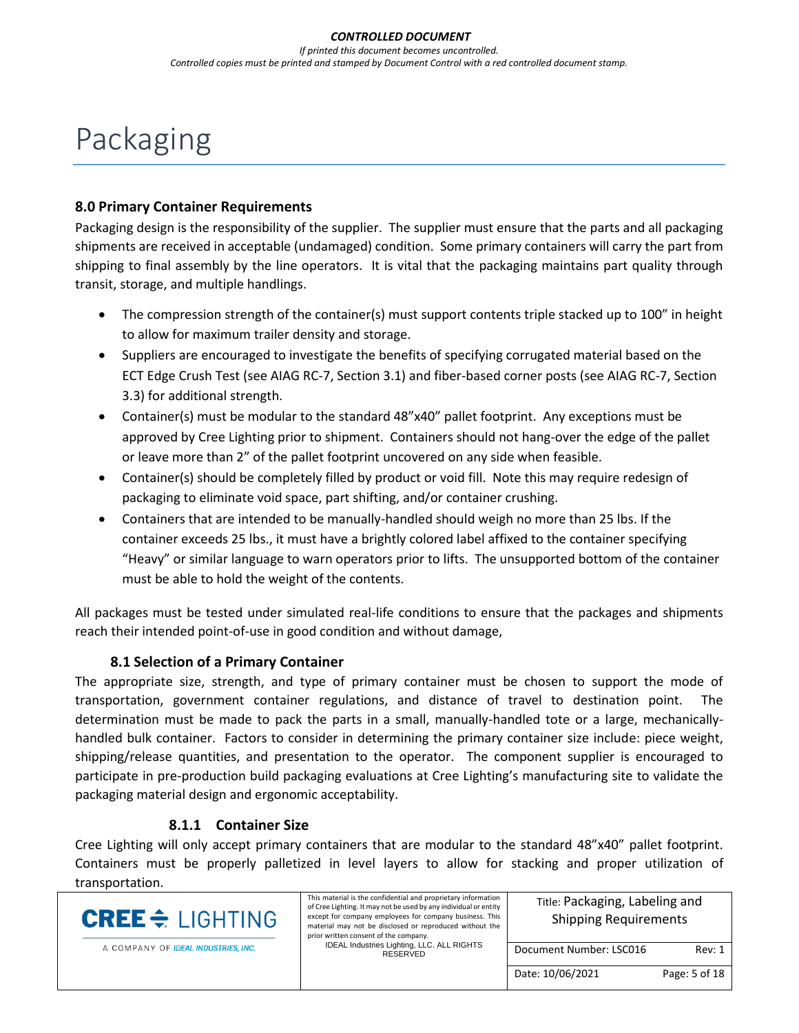# Packaging

#### <span id="page-4-0"></span>**8.0 Primary Container Requirements**

Packaging design is the responsibility of the supplier. The supplier must ensure that the parts and all packaging shipments are received in acceptable (undamaged) condition. Some primary containers will carry the part from shipping to final assembly by the line operators. It is vital that the packaging maintains part quality through transit, storage, and multiple handlings.

- The compression strength of the container(s) must support contents triple stacked up to 100" in height to allow for maximum trailer density and storage.
- Suppliers are encouraged to investigate the benefits of specifying corrugated material based on the ECT Edge Crush Test (see AIAG RC-7, Section 3.1) and fiber-based corner posts (see AIAG RC-7, Section 3.3) for additional strength.
- Container(s) must be modular to the standard 48"x40" pallet footprint. Any exceptions must be approved by Cree Lighting prior to shipment. Containers should not hang-over the edge of the pallet or leave more than 2" of the pallet footprint uncovered on any side when feasible.
- Container(s) should be completely filled by product or void fill. Note this may require redesign of packaging to eliminate void space, part shifting, and/or container crushing.
- Containers that are intended to be manually-handled should weigh no more than 25 lbs. If the container exceeds 25 lbs., it must have a brightly colored label affixed to the container specifying "Heavy" or similar language to warn operators prior to lifts. The unsupported bottom of the container must be able to hold the weight of the contents.

All packages must be tested under simulated real-life conditions to ensure that the packages and shipments reach their intended point-of-use in good condition and without damage,

#### **8.1 Selection of a Primary Container**

The appropriate size, strength, and type of primary container must be chosen to support the mode of transportation, government container regulations, and distance of travel to destination point. The determination must be made to pack the parts in a small, manually-handled tote or a large, mechanicallyhandled bulk container. Factors to consider in determining the primary container size include: piece weight, shipping/release quantities, and presentation to the operator. The component supplier is encouraged to participate in pre-production build packaging evaluations at Cree Lighting's manufacturing site to validate the packaging material design and ergonomic acceptability.

#### **8.1.1 Container Size**

Cree Lighting will only accept primary containers that are modular to the standard 48"x40" pallet footprint. Containers must be properly palletized in level layers to allow for stacking and proper utilization of transportation.

| <b>CREE</b> $\div$ LIGHTING         | This material is the confidential and proprietary information<br>of Cree Lighting. It may not be used by any individual or entity<br>except for company employees for company business. This<br>material may not be disclosed or reproduced without the<br>prior written consent of the company. | Title: Packaging, Labeling and<br><b>Shipping Requirements</b> |               |
|-------------------------------------|--------------------------------------------------------------------------------------------------------------------------------------------------------------------------------------------------------------------------------------------------------------------------------------------------|----------------------------------------------------------------|---------------|
| A COMPANY OF IDEAL INDUSTRIES, INC. | IDEAL Industries Lighting, LLC. ALL RIGHTS<br>RESERVED                                                                                                                                                                                                                                           | Document Number: LSC016                                        | Rev: 1        |
|                                     |                                                                                                                                                                                                                                                                                                  | Date: 10/06/2021                                               | Page: 5 of 18 |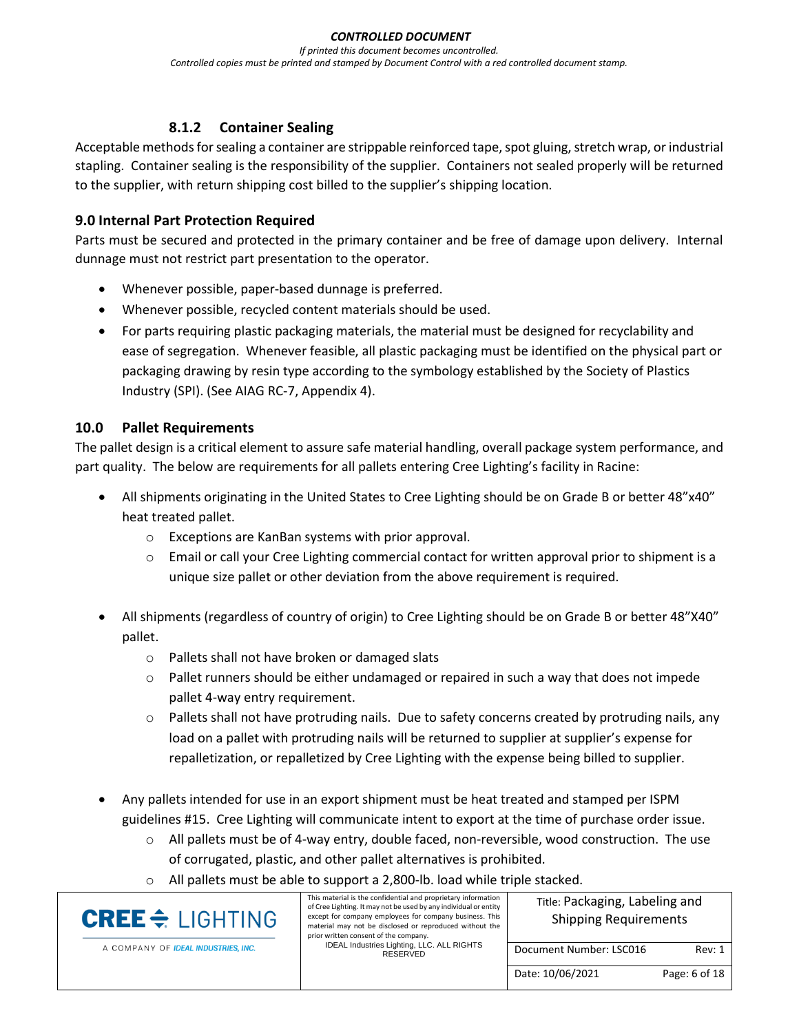# **8.1.2 Container Sealing**

Acceptable methods for sealing a container are strippable reinforced tape, spot gluing, stretch wrap, or industrial stapling. Container sealing is the responsibility of the supplier. Containers not sealed properly will be returned to the supplier, with return shipping cost billed to the supplier's shipping location.

### <span id="page-5-0"></span>**9.0 Internal Part Protection Required**

Parts must be secured and protected in the primary container and be free of damage upon delivery. Internal dunnage must not restrict part presentation to the operator.

- Whenever possible, paper-based dunnage is preferred.
- Whenever possible, recycled content materials should be used.
- For parts requiring plastic packaging materials, the material must be designed for recyclability and ease of segregation. Whenever feasible, all plastic packaging must be identified on the physical part or packaging drawing by resin type according to the symbology established by the Society of Plastics Industry (SPI). (See AIAG RC-7, Appendix 4).

#### <span id="page-5-1"></span>**10.0 Pallet Requirements**

The pallet design is a critical element to assure safe material handling, overall package system performance, and part quality. The below are requirements for all pallets entering Cree Lighting's facility in Racine:

- All shipments originating in the United States to Cree Lighting should be on Grade B or better 48"x40" heat treated pallet.
	- o Exceptions are KanBan systems with prior approval.
	- $\circ$  Email or call your Cree Lighting commercial contact for written approval prior to shipment is a unique size pallet or other deviation from the above requirement is required.
- All shipments (regardless of country of origin) to Cree Lighting should be on Grade B or better 48"X40" pallet.
	- o Pallets shall not have broken or damaged slats
	- $\circ$  Pallet runners should be either undamaged or repaired in such a way that does not impede pallet 4-way entry requirement.
	- $\circ$  Pallets shall not have protruding nails. Due to safety concerns created by protruding nails, any load on a pallet with protruding nails will be returned to supplier at supplier's expense for repalletization, or repalletized by Cree Lighting with the expense being billed to supplier.
- Any pallets intended for use in an export shipment must be heat treated and stamped per ISPM guidelines #15. Cree Lighting will communicate intent to export at the time of purchase order issue.
	- $\circ$  All pallets must be of 4-way entry, double faced, non-reversible, wood construction. The use of corrugated, plastic, and other pallet alternatives is prohibited.
	- o All pallets must be able to support a 2,800-lb. load while triple stacked.

| <b>CREE</b> $\div$ LIGHTING         | This material is the confidential and proprietary information<br>of Cree Lighting. It may not be used by any individual or entity<br>except for company employees for company business. This<br>material may not be disclosed or reproduced without the<br>prior written consent of the company. | Title: Packaging, Labeling and<br><b>Shipping Requirements</b> |               |  |
|-------------------------------------|--------------------------------------------------------------------------------------------------------------------------------------------------------------------------------------------------------------------------------------------------------------------------------------------------|----------------------------------------------------------------|---------------|--|
| A COMPANY OF IDEAL INDUSTRIES, INC. | IDEAL Industries Lighting, LLC. ALL RIGHTS<br>RESERVED                                                                                                                                                                                                                                           | Document Number: LSC016                                        | Rev: 1        |  |
|                                     |                                                                                                                                                                                                                                                                                                  | Date: 10/06/2021                                               | Page: 6 of 18 |  |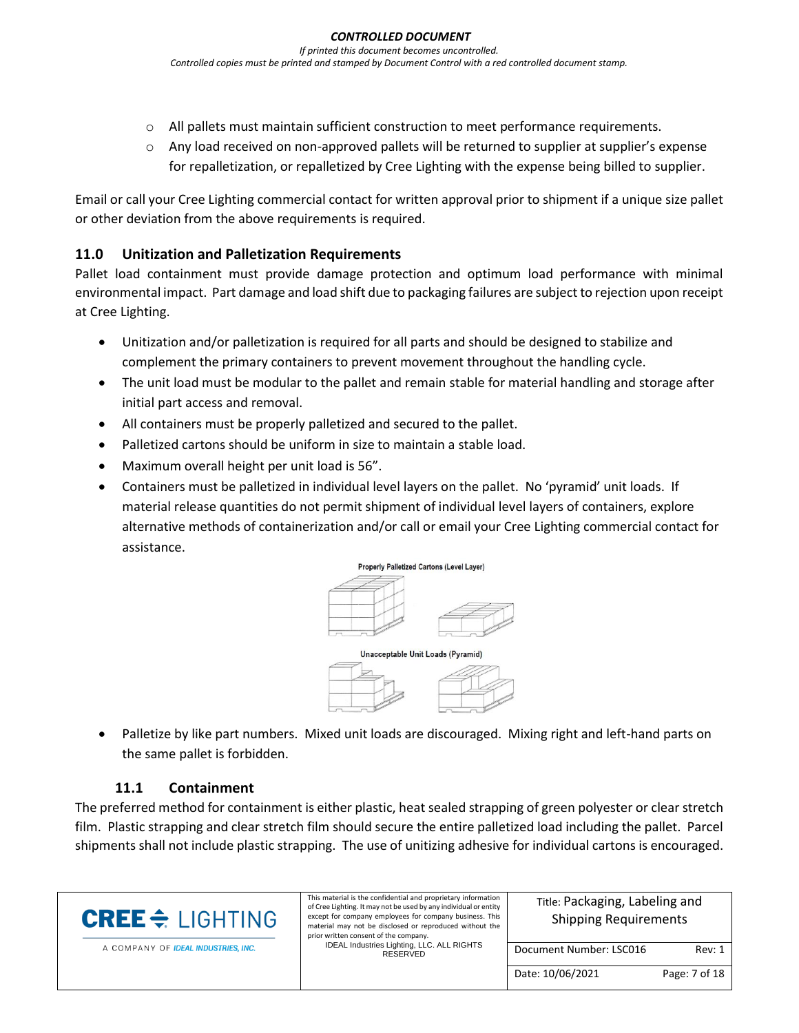- o All pallets must maintain sufficient construction to meet performance requirements.
- $\circ$  Any load received on non-approved pallets will be returned to supplier at supplier's expense for repalletization, or repalletized by Cree Lighting with the expense being billed to supplier.

Email or call your Cree Lighting commercial contact for written approval prior to shipment if a unique size pallet or other deviation from the above requirements is required.

#### <span id="page-6-0"></span>**11.0 Unitization and Palletization Requirements**

Pallet load containment must provide damage protection and optimum load performance with minimal environmental impact. Part damage and load shift due to packaging failures are subject to rejection upon receipt at Cree Lighting.

- Unitization and/or palletization is required for all parts and should be designed to stabilize and complement the primary containers to prevent movement throughout the handling cycle.
- The unit load must be modular to the pallet and remain stable for material handling and storage after initial part access and removal.
- All containers must be properly palletized and secured to the pallet.
- Palletized cartons should be uniform in size to maintain a stable load.
- Maximum overall height per unit load is 56".
- Containers must be palletized in individual level layers on the pallet. No 'pyramid' unit loads. If material release quantities do not permit shipment of individual level layers of containers, explore alternative methods of containerization and/or call or email your Cree Lighting commercial contact for assistance.



Unacceptable Unit Loads (Pyramid)



• Palletize by like part numbers. Mixed unit loads are discouraged. Mixing right and left-hand parts on the same pallet is forbidden.

# **11.1 Containment**

The preferred method for containment is either plastic, heat sealed strapping of green polyester or clear stretch film. Plastic strapping and clear stretch film should secure the entire palletized load including the pallet. Parcel shipments shall not include plastic strapping. The use of unitizing adhesive for individual cartons is encouraged.

| <b>CREE</b> $\triangleq$ LIGHTING   | This material is the confidential and proprietary information<br>of Cree Lighting. It may not be used by any individual or entity<br>except for company employees for company business. This<br>material may not be disclosed or reproduced without the<br>prior written consent of the company. | Title: Packaging, Labeling and<br><b>Shipping Requirements</b> |               |  |
|-------------------------------------|--------------------------------------------------------------------------------------------------------------------------------------------------------------------------------------------------------------------------------------------------------------------------------------------------|----------------------------------------------------------------|---------------|--|
| A COMPANY OF IDEAL INDUSTRIES, INC. | IDEAL Industries Lighting, LLC. ALL RIGHTS<br>RESERVED                                                                                                                                                                                                                                           | Document Number: LSC016                                        | Rev: 1        |  |
|                                     |                                                                                                                                                                                                                                                                                                  | Date: 10/06/2021                                               | Page: 7 of 18 |  |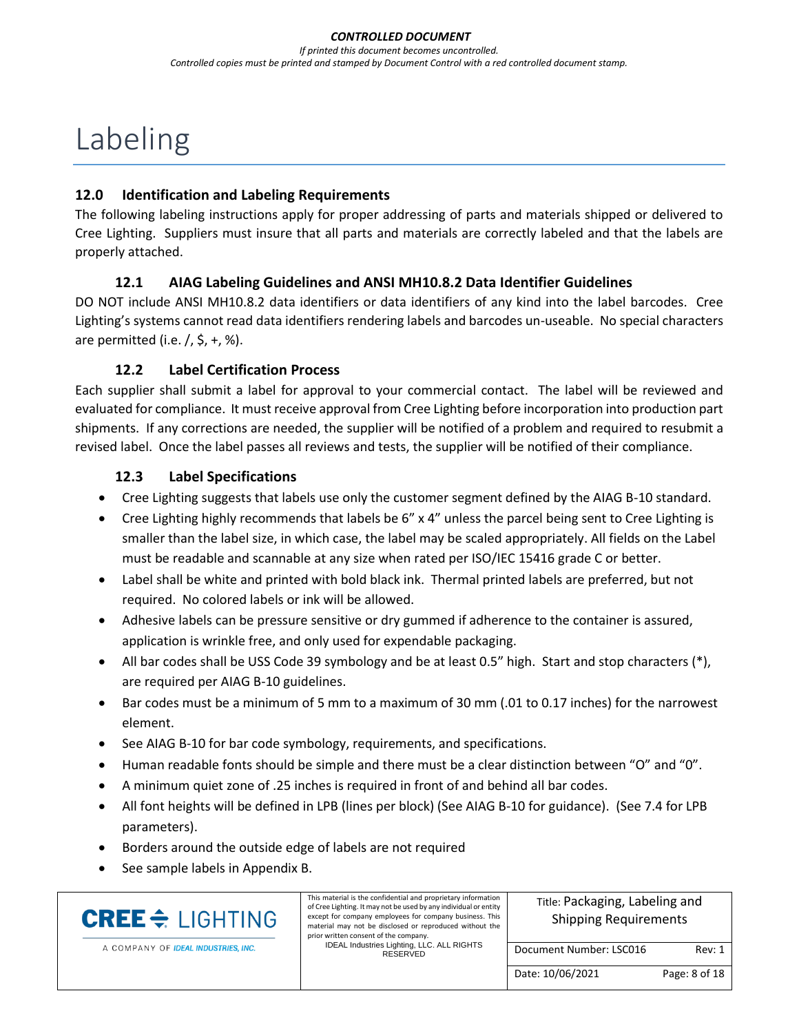# Labeling

#### <span id="page-7-0"></span>**12.0 Identification and Labeling Requirements**

The following labeling instructions apply for proper addressing of parts and materials shipped or delivered to Cree Lighting. Suppliers must insure that all parts and materials are correctly labeled and that the labels are properly attached.

# **12.1 AIAG Labeling Guidelines and ANSI MH10.8.2 Data Identifier Guidelines**

DO NOT include ANSI MH10.8.2 data identifiers or data identifiers of any kind into the label barcodes. Cree Lighting's systems cannot read data identifiers rendering labels and barcodes un-useable. No special characters are permitted (i.e.  $/$ ,  $\frac{1}{2}$ ,  $+$ , %).

#### **12.2 Label Certification Process**

Each supplier shall submit a label for approval to your commercial contact. The label will be reviewed and evaluated for compliance. It must receive approval from Cree Lighting before incorporation into production part shipments. If any corrections are needed, the supplier will be notified of a problem and required to resubmit a revised label. Once the label passes all reviews and tests, the supplier will be notified of their compliance.

#### **12.3 Label Specifications**

- Cree Lighting suggests that labels use only the customer segment defined by the AIAG B-10 standard.
- Cree Lighting highly recommends that labels be 6" x 4" unless the parcel being sent to Cree Lighting is smaller than the label size, in which case, the label may be scaled appropriately. All fields on the Label must be readable and scannable at any size when rated per ISO/IEC 15416 grade C or better.
- Label shall be white and printed with bold black ink. Thermal printed labels are preferred, but not required. No colored labels or ink will be allowed.
- Adhesive labels can be pressure sensitive or dry gummed if adherence to the container is assured, application is wrinkle free, and only used for expendable packaging.
- All bar codes shall be USS Code 39 symbology and be at least 0.5" high. Start and stop characters (\*), are required per AIAG B-10 guidelines.
- Bar codes must be a minimum of 5 mm to a maximum of 30 mm (.01 to 0.17 inches) for the narrowest element.
- See AIAG B-10 for bar code symbology, requirements, and specifications.
- Human readable fonts should be simple and there must be a clear distinction between "O" and "0".
- A minimum quiet zone of .25 inches is required in front of and behind all bar codes.
- All font heights will be defined in LPB (lines per block) (See AIAG B-10 for guidance). (See 7.4 for LPB parameters).
- Borders around the outside edge of labels are not required
- See sample labels in Appendix B.

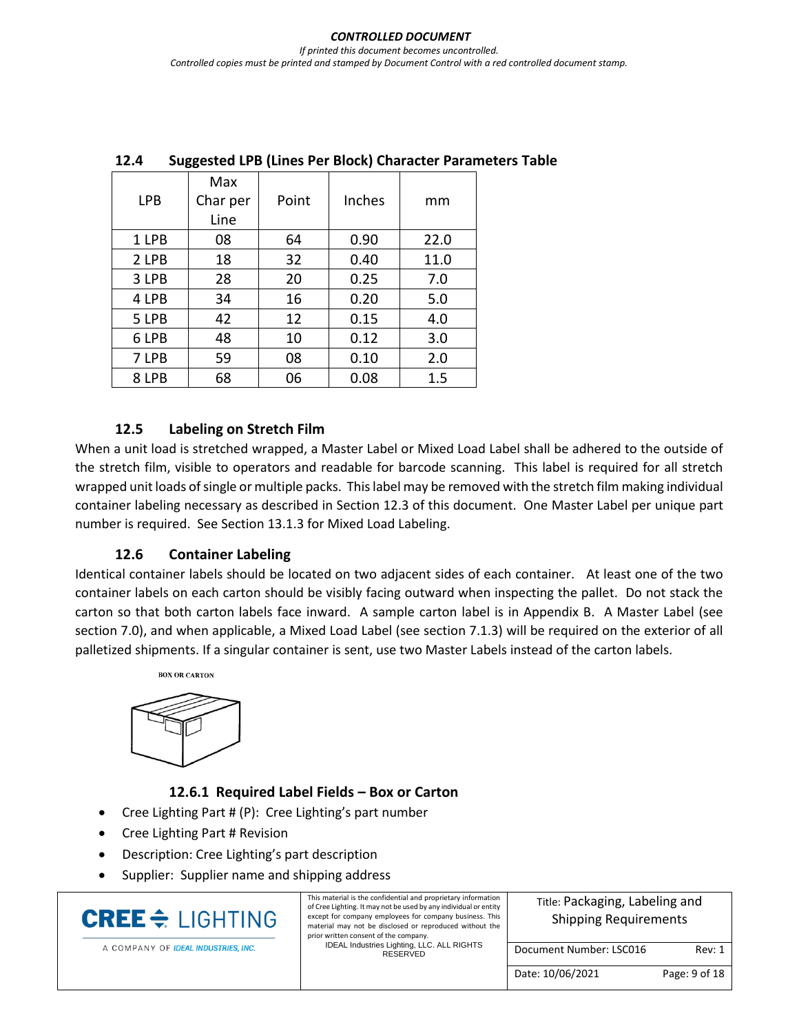| <b>LPB</b> | Max<br>Char per<br>Line | Point | Inches | mm   |
|------------|-------------------------|-------|--------|------|
| 1 LPB      | 08                      | 64    | 0.90   | 22.0 |
| 2 LPB      | 18                      | 32    | 0.40   | 11.0 |
| 3 LPB      | 28                      | 20    | 0.25   | 7.0  |
| 4 LPB      | 34                      | 16    | 0.20   | 5.0  |
| 5 LPB      | 42                      | 12    | 0.15   | 4.0  |
| 6 LPB      | 48                      | 10    | 0.12   | 3.0  |
| 7 LPB      | 59                      | 08    | 0.10   | 2.0  |
| 8 LPB      | 68                      | 06    | 0.08   | 1.5  |

# **12.4 Suggested LPB (Lines Per Block) Character Parameters Table**

#### **12.5 Labeling on Stretch Film**

When a unit load is stretched wrapped, a Master Label or Mixed Load Label shall be adhered to the outside of the stretch film, visible to operators and readable for barcode scanning. This label is required for all stretch wrapped unit loads of single or multiple packs. This label may be removed with the stretch film making individual container labeling necessary as described in Section 12.3 of this document. One Master Label per unique part number is required. See Section 13.1.3 for Mixed Load Labeling.

#### **12.6 Container Labeling**

Identical container labels should be located on two adjacent sides of each container. At least one of the two container labels on each carton should be visibly facing outward when inspecting the pallet. Do not stack the carton so that both carton labels face inward. A sample carton label is in Appendix B. A Master Label (see section 7.0), and when applicable, a Mixed Load Label (see section 7.1.3) will be required on the exterior of all palletized shipments. If a singular container is sent, use two Master Labels instead of the carton labels.



#### **12.6.1 Required Label Fields – Box or Carton**

- Cree Lighting Part # (P): Cree Lighting's part number
- Cree Lighting Part # Revision
- Description: Cree Lighting's part description
- Supplier: Supplier name and shipping address

| <b>CREE</b> $\triangleq$ LIGHTING   | This material is the confidential and proprietary information<br>of Cree Lighting. It may not be used by any individual or entity<br>except for company employees for company business. This<br>material may not be disclosed or reproduced without the<br>prior written consent of the company. | Title: Packaging, Labeling and<br><b>Shipping Requirements</b> |               |  |
|-------------------------------------|--------------------------------------------------------------------------------------------------------------------------------------------------------------------------------------------------------------------------------------------------------------------------------------------------|----------------------------------------------------------------|---------------|--|
| A COMPANY OF IDEAL INDUSTRIES, INC. | IDEAL Industries Lighting, LLC. ALL RIGHTS<br>RESERVED                                                                                                                                                                                                                                           | Document Number: LSC016                                        | Rev: 1        |  |
|                                     |                                                                                                                                                                                                                                                                                                  | Date: 10/06/2021                                               | Page: 9 of 18 |  |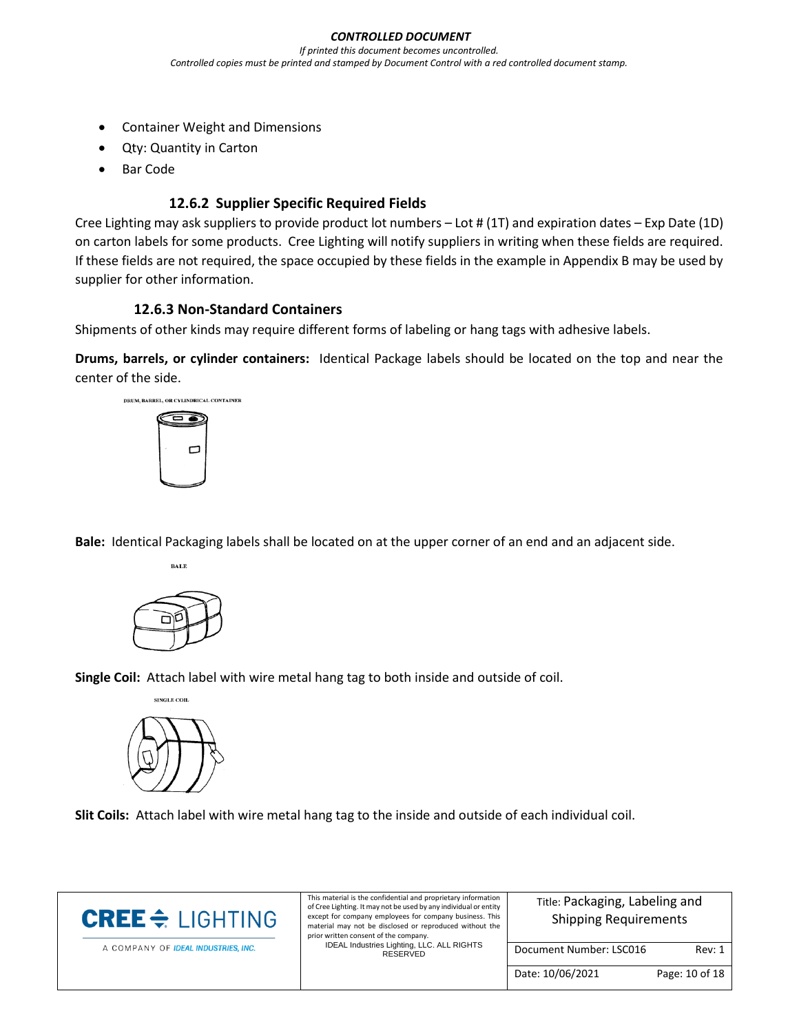- Container Weight and Dimensions
- Qty: Quantity in Carton
- Bar Code

# **12.6.2 Supplier Specific Required Fields**

Cree Lighting may ask suppliers to provide product lot numbers – Lot # (1T) and expiration dates – Exp Date (1D) on carton labels for some products. Cree Lighting will notify suppliers in writing when these fields are required. If these fields are not required, the space occupied by these fields in the example in Appendix B may be used by supplier for other information.

# **12.6.3 Non-Standard Containers**

Shipments of other kinds may require different forms of labeling or hang tags with adhesive labels.

**Drums, barrels, or cylinder containers:** Identical Package labels should be located on the top and near the center of the side.



**Bale:** Identical Packaging labels shall be located on at the upper corner of an end and an adjacent side.



**BALE** 

**Single Coil:** Attach label with wire metal hang tag to both inside and outside of coil.



**Slit Coils:** Attach label with wire metal hang tag to the inside and outside of each individual coil.

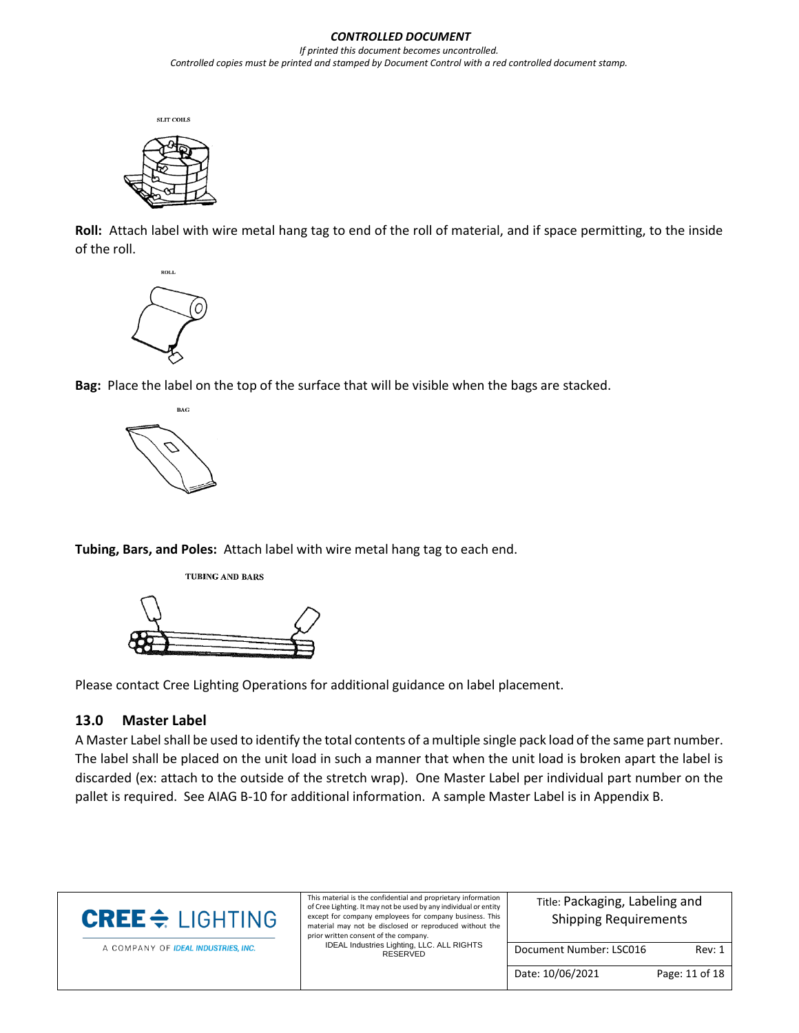



**Roll:** Attach label with wire metal hang tag to end of the roll of material, and if space permitting, to the inside of the roll.



**Bag:** Place the label on the top of the surface that will be visible when the bags are stacked.



**Tubing, Bars, and Poles:** Attach label with wire metal hang tag to each end.





Please contact Cree Lighting Operations for additional guidance on label placement.

#### <span id="page-10-0"></span>**13.0 Master Label**

A Master Label shall be used to identify the total contents of a multiple single pack load of the same part number. The label shall be placed on the unit load in such a manner that when the unit load is broken apart the label is discarded (ex: attach to the outside of the stretch wrap). One Master Label per individual part number on the pallet is required. See AIAG B-10 for additional information. A sample Master Label is in Appendix B.

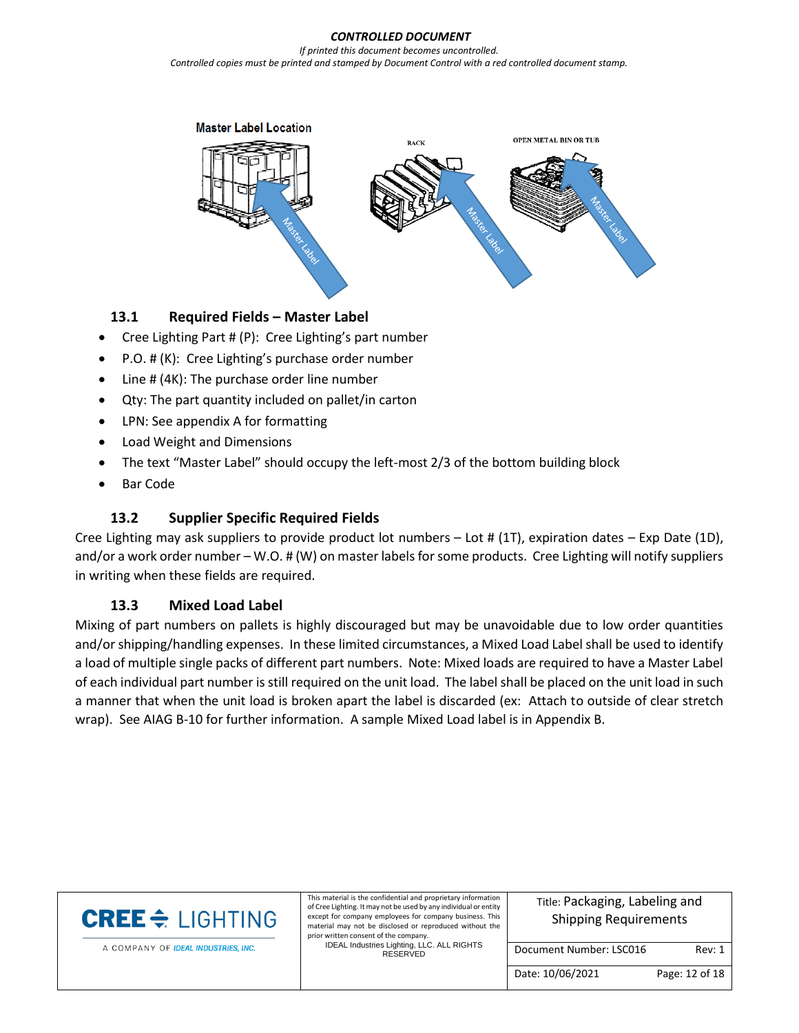#### *CONTROLLED DOCUMENT*

*If printed this document becomes uncontrolled. Controlled copies must be printed and stamped by Document Control with a red controlled document stamp.*



#### **13.1 Required Fields – Master Label**

- Cree Lighting Part # (P): Cree Lighting's part number
- P.O. # (K): Cree Lighting's purchase order number
- Line # (4K): The purchase order line number
- Qty: The part quantity included on pallet/in carton
- LPN: See appendix A for formatting
- Load Weight and Dimensions
- The text "Master Label" should occupy the left-most 2/3 of the bottom building block
- Bar Code

### **13.2 Supplier Specific Required Fields**

Cree Lighting may ask suppliers to provide product lot numbers  $-$  Lot # (1T), expiration dates  $-$  Exp Date (1D), and/or a work order number – W.O. # (W) on master labels for some products. Cree Lighting will notify suppliers in writing when these fields are required.

#### **13.3 Mixed Load Label**

Mixing of part numbers on pallets is highly discouraged but may be unavoidable due to low order quantities and/or shipping/handling expenses. In these limited circumstances, a Mixed Load Label shall be used to identify a load of multiple single packs of different part numbers. Note: Mixed loads are required to have a Master Label of each individual part number is still required on the unit load. The label shall be placed on the unit load in such a manner that when the unit load is broken apart the label is discarded (ex: Attach to outside of clear stretch wrap). See AIAG B-10 for further information. A sample Mixed Load label is in Appendix B.

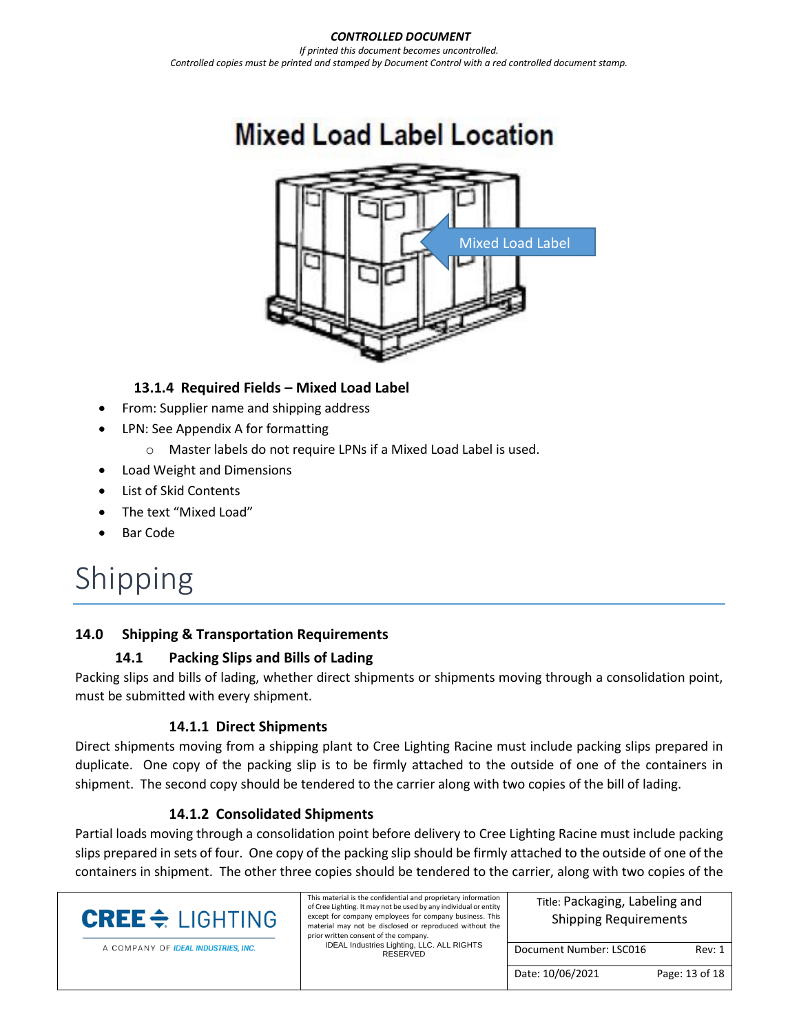# **Mixed Load Label Location**



# **13.1.4 Required Fields – Mixed Load Label**

- From: Supplier name and shipping address
- LPN: See Appendix A for formatting
	- o Master labels do not require LPNs if a Mixed Load Label is used.
- Load Weight and Dimensions
- List of Skid Contents
- The text "Mixed Load"
- Bar Code

# Shipping

# <span id="page-12-0"></span>**14.0 Shipping & Transportation Requirements**

# **14.1 Packing Slips and Bills of Lading**

Packing slips and bills of lading, whether direct shipments or shipments moving through a consolidation point, must be submitted with every shipment.

# **14.1.1 Direct Shipments**

Direct shipments moving from a shipping plant to Cree Lighting Racine must include packing slips prepared in duplicate. One copy of the packing slip is to be firmly attached to the outside of one of the containers in shipment. The second copy should be tendered to the carrier along with two copies of the bill of lading.

# **14.1.2 Consolidated Shipments**

Partial loads moving through a consolidation point before delivery to Cree Lighting Racine must include packing slips prepared in sets of four. One copy of the packing slip should be firmly attached to the outside of one of the containers in shipment. The other three copies should be tendered to the carrier, along with two copies of the

| <b>CREE</b> $\triangle$ LIGHTING    | This material is the confidential and proprietary information<br>of Cree Lighting. It may not be used by any individual or entity<br>except for company employees for company business. This<br>material may not be disclosed or reproduced without the<br>prior written consent of the company. | Title: Packaging, Labeling and<br><b>Shipping Requirements</b> |                |  |
|-------------------------------------|--------------------------------------------------------------------------------------------------------------------------------------------------------------------------------------------------------------------------------------------------------------------------------------------------|----------------------------------------------------------------|----------------|--|
| A COMPANY OF IDEAL INDUSTRIES, INC. | IDEAL Industries Lighting, LLC. ALL RIGHTS<br>RESERVED                                                                                                                                                                                                                                           | Document Number: LSC016                                        | Rev: 1         |  |
|                                     |                                                                                                                                                                                                                                                                                                  | Date: 10/06/2021                                               | Page: 13 of 18 |  |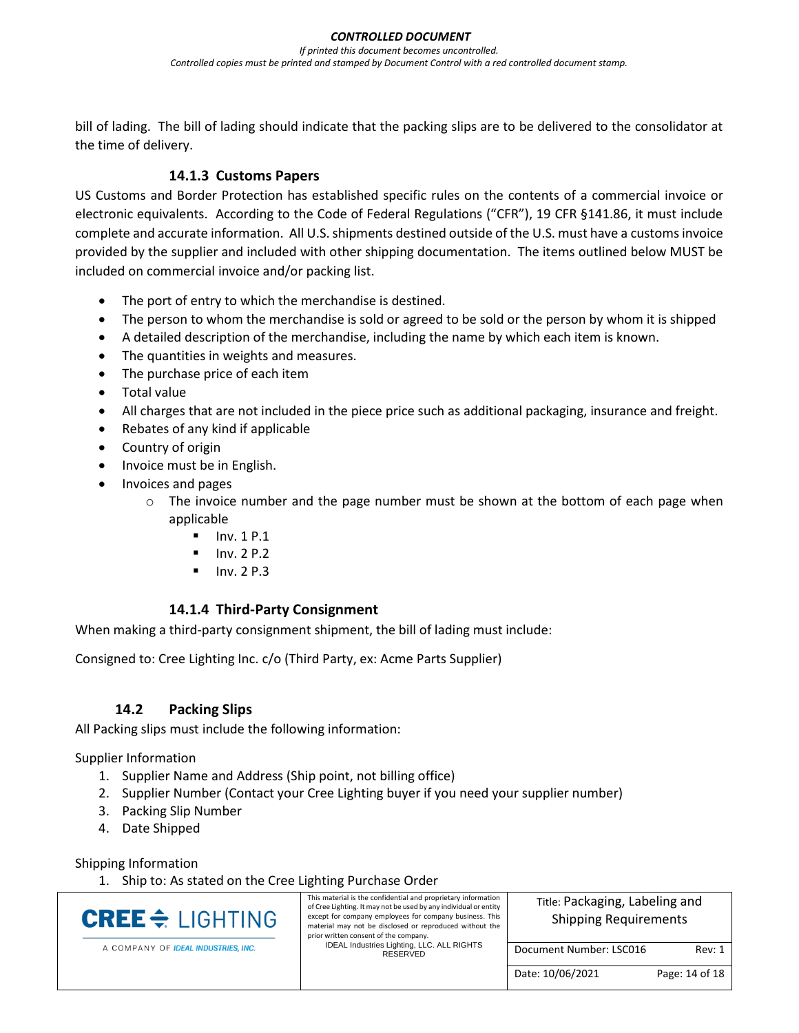bill of lading. The bill of lading should indicate that the packing slips are to be delivered to the consolidator at the time of delivery.

### **14.1.3 Customs Papers**

US Customs and Border Protection has established specific rules on the contents of a commercial invoice or electronic equivalents. According to the Code of Federal Regulations ("CFR"), 19 CFR §141.86, it must include complete and accurate information. All U.S. shipments destined outside of the U.S. must have a customs invoice provided by the supplier and included with other shipping documentation. The items outlined below MUST be included on commercial invoice and/or packing list.

- The port of entry to which the merchandise is destined.
- The person to whom the merchandise is sold or agreed to be sold or the person by whom it is shipped
- A detailed description of the merchandise, including the name by which each item is known.
- The quantities in weights and measures.
- The purchase price of each item
- Total value
- All charges that are not included in the piece price such as additional packaging, insurance and freight.
- Rebates of any kind if applicable
- Country of origin
- Invoice must be in English.
- Invoices and pages
	- $\circ$  The invoice number and the page number must be shown at the bottom of each page when applicable
		- Inv. 1 P.1
		- Inv. 2 P.2
		- Inv. 2 P.3

#### **14.1.4 Third-Party Consignment**

When making a third-party consignment shipment, the bill of lading must include:

Consigned to: Cree Lighting Inc. c/o (Third Party, ex: Acme Parts Supplier)

#### **14.2 Packing Slips**

All Packing slips must include the following information:

Supplier Information

- 1. Supplier Name and Address (Ship point, not billing office)
- 2. Supplier Number (Contact your Cree Lighting buyer if you need your supplier number)
- 3. Packing Slip Number
- 4. Date Shipped

Shipping Information

1. Ship to: As stated on the Cree Lighting Purchase Order

| <b>CREE</b> $\div$ LIGHTING         | This material is the confidential and proprietary information<br>of Cree Lighting. It may not be used by any individual or entity<br>except for company employees for company business. This<br>material may not be disclosed or reproduced without the<br>prior written consent of the company. | Title: Packaging, Labeling and<br><b>Shipping Requirements</b> |                |  |
|-------------------------------------|--------------------------------------------------------------------------------------------------------------------------------------------------------------------------------------------------------------------------------------------------------------------------------------------------|----------------------------------------------------------------|----------------|--|
| A COMPANY OF IDEAL INDUSTRIES, INC. | IDEAL Industries Lighting, LLC. ALL RIGHTS<br>RESERVED                                                                                                                                                                                                                                           | Document Number: LSC016                                        | Rev: 1         |  |
|                                     |                                                                                                                                                                                                                                                                                                  | Date: 10/06/2021                                               | Page: 14 of 18 |  |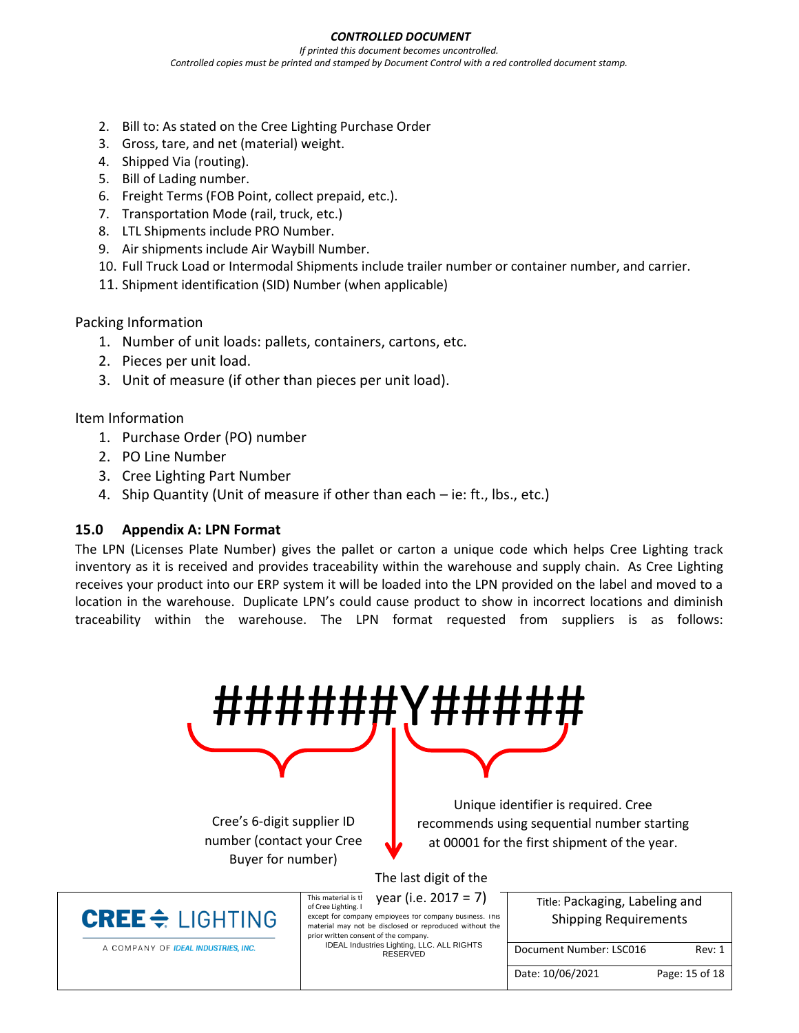#### *CONTROLLED DOCUMENT*

*If printed this document becomes uncontrolled. Controlled copies must be printed and stamped by Document Control with a red controlled document stamp.*

- 2. Bill to: As stated on the Cree Lighting Purchase Order
- 3. Gross, tare, and net (material) weight.
- 4. Shipped Via (routing).
- 5. Bill of Lading number.
- 6. Freight Terms (FOB Point, collect prepaid, etc.).
- 7. Transportation Mode (rail, truck, etc.)
- 8. LTL Shipments include PRO Number.
- 9. Air shipments include Air Waybill Number.
- 10. Full Truck Load or Intermodal Shipments include trailer number or container number, and carrier.
- 11. Shipment identification (SID) Number (when applicable)

Packing Information

- 1. Number of unit loads: pallets, containers, cartons, etc.
- 2. Pieces per unit load.
- 3. Unit of measure (if other than pieces per unit load).

Item Information

- 1. Purchase Order (PO) number
- 2. PO Line Number
- 3. Cree Lighting Part Number
- 4. Ship Quantity (Unit of measure if other than each ie: ft., lbs., etc.)

#### <span id="page-14-0"></span>**15.0 Appendix A: LPN Format**

The LPN (Licenses Plate Number) gives the pallet or carton a unique code which helps Cree Lighting track inventory as it is received and provides traceability within the warehouse and supply chain. As Cree Lighting receives your product into our ERP system it will be loaded into the LPN provided on the label and moved to a location in the warehouse. Duplicate LPN's could cause product to show in incorrect locations and diminish traceability within the warehouse. The LPN format requested from suppliers is as follows:

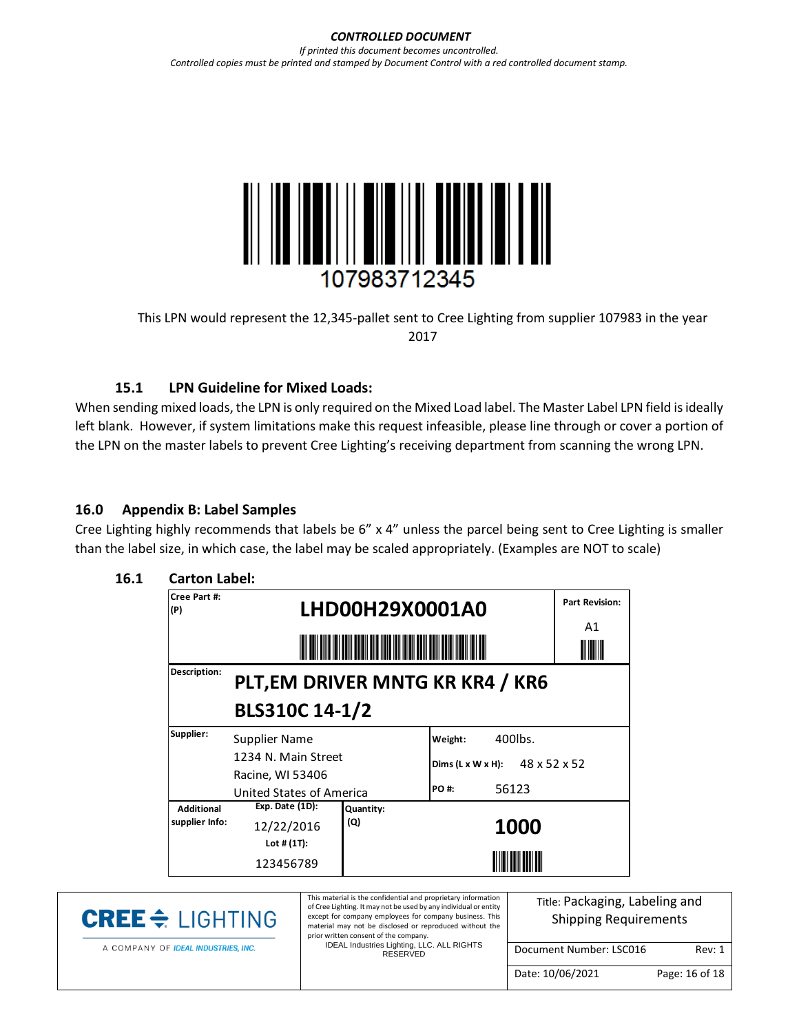#### *CONTROLLED DOCUMENT If printed this document becomes uncontrolled. Controlled copies must be printed and stamped by Document Control with a red controlled document stamp.*



This LPN would represent the 12,345-pallet sent to Cree Lighting from supplier 107983 in the year 2017

# **15.1 LPN Guideline for Mixed Loads:**

When sending mixed loads, the LPN is only required on the Mixed Load label. The Master Label LPN field is ideally left blank. However, if system limitations make this request infeasible, please line through or cover a portion of the LPN on the master labels to prevent Cree Lighting's receiving department from scanning the wrong LPN.

#### <span id="page-15-0"></span>**16.0 Appendix B: Label Samples**

Cree Lighting highly recommends that labels be 6" x 4" unless the parcel being sent to Cree Lighting is smaller than the label size, in which case, the label may be scaled appropriately. (Examples are NOT to scale)

| Cree Part #:<br>(P) | LHD00H29X0001A0          |                                  |                                            | <b>Part Revision:</b><br>A1 |  |  |
|---------------------|--------------------------|----------------------------------|--------------------------------------------|-----------------------------|--|--|
|                     |                          |                                  |                                            |                             |  |  |
| Description:        |                          | PLT, EM DRIVER MNTG KR KR4 / KR6 |                                            |                             |  |  |
|                     | BLS310C 14-1/2           |                                  |                                            |                             |  |  |
| Supplier:           | Supplier Name            |                                  | Weight:                                    | 400lbs.                     |  |  |
|                     | 1234 N. Main Street      |                                  | Dims (L x W x H): $48 \times 52 \times 52$ |                             |  |  |
|                     | Racine, WI 53406         |                                  |                                            |                             |  |  |
|                     | United States of America |                                  | PO #:                                      | 56123                       |  |  |
| <b>Additional</b>   | Exp. Date (1D):          | Quantity:                        |                                            |                             |  |  |
| supplier Info:      | 12/22/2016               | (Q)                              |                                            | 1000                        |  |  |
|                     | Lot # $(1T)$ :           |                                  |                                            |                             |  |  |
|                     | 123456789                |                                  |                                            |                             |  |  |

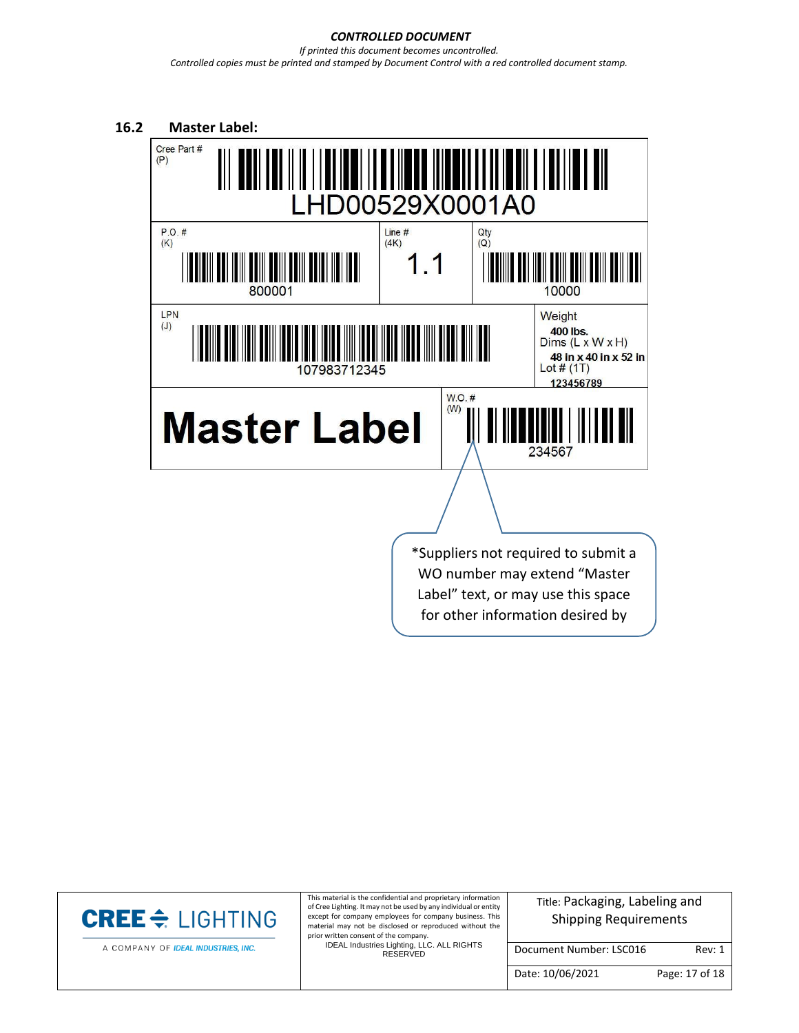#### *CONTROLLED DOCUMENT If printed this document becomes uncontrolled. Controlled copies must be printed and stamped by Document Control with a red controlled document stamp.*



WO number may extend "Master Label" text, or may use this space for other information desired by

supplier.<br>Supplier.

A COMPANY OF IDEAL INDUSTRIES, INC.

This material is the confidential and proprietary information of Cree Lighting. It may not be used by any individual or entity except for company employees for company business. This material may not be disclosed or reproduced without the prior written consent of the company.

IDEAL Industries Lighting, LLC. ALL RIGHTS RESERVED

Title: Packaging, Labeling and Shipping Requirements

Document Number: LSC016 Rev: 1

Date: 10/06/2021 Page: 17 of 18